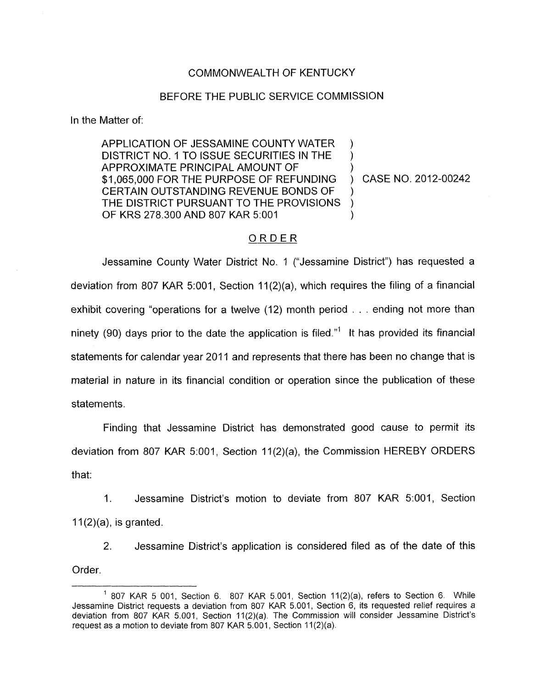## COMMONWEALTH OF KENTUCKY

## BEFORE THE PUBLIC SERVICE COMMISSION

In the Matter of:

APPLICATION OF JESSAMINE COUNTY WATER DISTRICT NO. 1 TO ISSUE SECURITIES IN THE APPROXIMATE PRINCIPAL AMOUNT OF ) \$1,065,000 FOR THE PURPOSE OF REFUNDING ) CASE NO. 2012-00242 CERTAIN OUTSTANDING REVENUE BONDS OF THE DISTRICT PURSUANT TO THE PROVISIONS ) OF KRS 278.300 AND 807 KAR 5:001

## ORDER

Jessamine County Water District No. 1 ("Jessamine District") has requested a deviation from 807 KAR 5:001, Section 11(2)(a), which requires the filing of a financial exhibit covering "operations for a twelve (12) month period . . . ending not more than ninety (90) days prior to the date the application is filed."' It has provided its financial statements for calendar year 2011 and represents that there has been no change that is material in nature in its financial condition or operation since the publication of these statements.

Finding that Jessamine District has demonstrated good cause to permit its deviation from 807 KAR 5:001, Section 11(2)(a), the Commission HEREBY ORDERS that:

1. Jessamine District's motion to deviate from 807 KAR 5:001, Section  $11(2)(a)$ , is granted.

2. Jessamine District's application is considered filed as of the date of this Order

 $1$  807 KAR 5 001, Section 6. 807 KAR 5.001, Section 11(2)(a), refers to Section 6. While Jessamine District requests a deviation from 807 KAR 5.001, Section 6, its requested relief requires a deviation from 807 KAR 5.001, Section 11(2)(a). The Commission will consider Jessamine District's request as a motion to deviate from 807 KAR 5.001, Section 11(2)(a).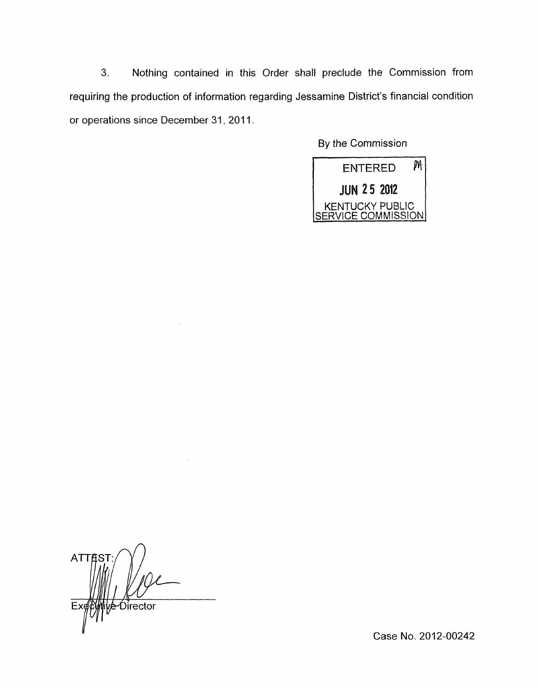**3.** Nothing contained in this Order shall preclude the Commission from requiring the production of information regarding Jessamine District's financial condition or operations since December 31, 2011.

By the Commission



**ATTES** Director E)

Case No. 2012-00242